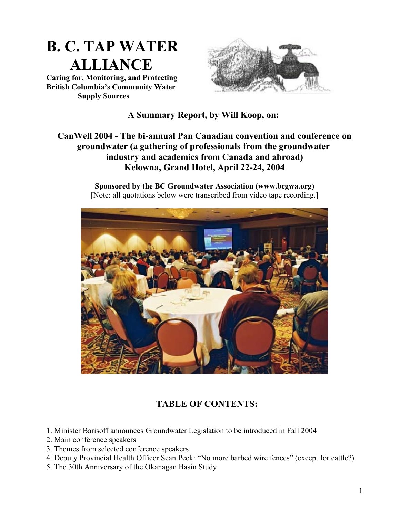

**Caring for, Monitoring, and Protecting British Columbia's Community Water Supply Sources**



## **A Summary Report, by Will Koop, on:**

## **CanWell 2004 - The bi-annual Pan Canadian convention and conference on groundwater (a gathering of professionals from the groundwater industry and academics from Canada and abroad) Kelowna, Grand Hotel, April 22-24, 2004**

**Sponsored by the BC Groundwater Association (www.bcgwa.org)** [Note: all quotations below were transcribed from video tape recording.]



# **TABLE OF CONTENTS:**

- 1. Minister Barisoff announces Groundwater Legislation to be introduced in Fall 2004
- 2. Main conference speakers
- 3. Themes from selected conference speakers
- 4. Deputy Provincial Health Officer Sean Peck: "No more barbed wire fences" (except for cattle?)
- 5. The 30th Anniversary of the Okanagan Basin Study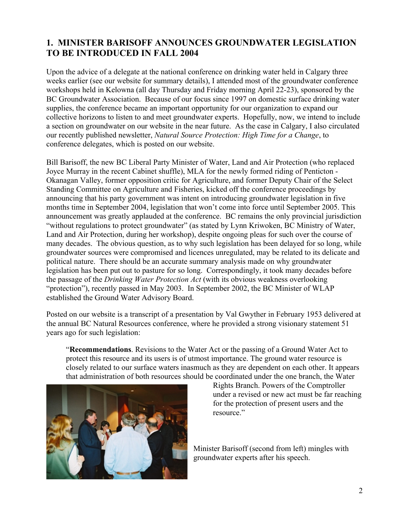# **1. MINISTER BARISOFF ANNOUNCES GROUNDWATER LEGISLATION TO BE INTRODUCED IN FALL 2004**

Upon the advice of a delegate at the national conference on drinking water held in Calgary three weeks earlier (see our website for summary details), I attended most of the groundwater conference workshops held in Kelowna (all day Thursday and Friday morning April 22-23), sponsored by the BC Groundwater Association. Because of our focus since 1997 on domestic surface drinking water supplies, the conference became an important opportunity for our organization to expand our collective horizons to listen to and meet groundwater experts. Hopefully, now, we intend to include a section on groundwater on our website in the near future. As the case in Calgary, I also circulated our recently published newsletter, *Natural Source Protection: High Time for a Change*, to conference delegates, which is posted on our website.

Bill Barisoff, the new BC Liberal Party Minister of Water, Land and Air Protection (who replaced Joyce Murray in the recent Cabinet shuffle), MLA for the newly formed riding of Penticton - Okanagan Valley, former opposition critic for Agriculture, and former Deputy Chair of the Select Standing Committee on Agriculture and Fisheries, kicked off the conference proceedings by announcing that his party government was intent on introducing groundwater legislation in five months time in September 2004, legislation that won't come into force until September 2005. This announcement was greatly applauded at the conference. BC remains the only provincial jurisdiction "without regulations to protect groundwater" (as stated by Lynn Kriwoken, BC Ministry of Water, Land and Air Protection, during her workshop), despite ongoing pleas for such over the course of many decades. The obvious question, as to why such legislation has been delayed for so long, while groundwater sources were compromised and licences unregulated, may be related to its delicate and political nature. There should be an accurate summary analysis made on why groundwater legislation has been put out to pasture for so long. Correspondingly, it took many decades before the passage of the *Drinking Water Protection Act* (with its obvious weakness overlooking "protection"), recently passed in May 2003. In September 2002, the BC Minister of WLAP established the Ground Water Advisory Board.

Posted on our website is a transcript of a presentation by Val Gwyther in February 1953 delivered at the annual BC Natural Resources conference, where he provided a strong visionary statement 51 years ago for such legislation:

"**Recommendations**. Revisions to the Water Act or the passing of a Ground Water Act to protect this resource and its users is of utmost importance. The ground water resource is closely related to our surface waters inasmuch as they are dependent on each other. It appears that administration of both resources should be coordinated under the one branch, the Water



Rights Branch. Powers of the Comptroller under a revised or new act must be far reaching for the protection of present users and the resource<sup>"</sup>

Minister Barisoff (second from left) mingles with groundwater experts after his speech.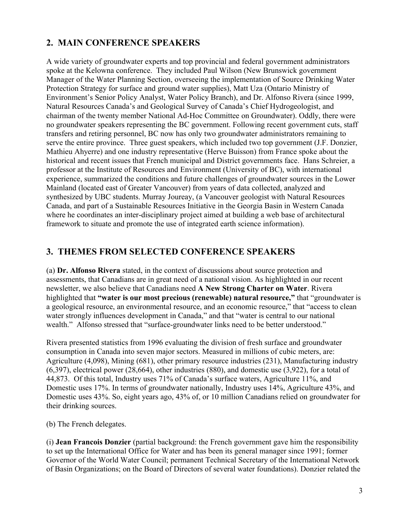# **2. MAIN CONFERENCE SPEAKERS**

A wide variety of groundwater experts and top provincial and federal government administrators spoke at the Kelowna conference. They included Paul Wilson (New Brunswick government Manager of the Water Planning Section, overseeing the implementation of Source Drinking Water Protection Strategy for surface and ground water supplies), Matt Uza (Ontario Ministry of Environment's Senior Policy Analyst, Water Policy Branch), and Dr. Alfonso Rivera (since 1999, Natural Resources Canada's and Geological Survey of Canada's Chief Hydrogeologist, and chairman of the twenty member National Ad-Hoc Committee on Groundwater). Oddly, there were no groundwater speakers representing the BC government. Following recent government cuts, staff transfers and retiring personnel, BC now has only two groundwater administrators remaining to serve the entire province. Three guest speakers, which included two top government (J.F. Donzier, Mathieu Ahyerre) and one industry representative (Herve Buisson) from France spoke about the historical and recent issues that French municipal and District governments face. Hans Schreier, a professor at the Institute of Resources and Environment (University of BC), with international experience, summarized the conditions and future challenges of groundwater sources in the Lower Mainland (located east of Greater Vancouver) from years of data collected, analyzed and synthesized by UBC students. Murray Joureay, (a Vancouver geologist with Natural Resources Canada, and part of a Sustainable Resources Initiative in the Georgia Basin in Western Canada where he coordinates an inter-disciplinary project aimed at building a web base of architectural framework to situate and promote the use of integrated earth science information).

## **3. THEMES FROM SELECTED CONFERENCE SPEAKERS**

(a) **Dr. Alfonso Rivera** stated, in the context of discussions about source protection and assessments, that Canadians are in great need of a national vision. As highlighted in our recent newsletter, we also believe that Canadians need **A New Strong Charter on Water**. Rivera highlighted that **"water is our most precious (renewable) natural resource,"** that "groundwater is a geological resource, an environmental resource, and an economic resource," that "access to clean water strongly influences development in Canada," and that "water is central to our national wealth." Alfonso stressed that "surface-groundwater links need to be better understood."

Rivera presented statistics from 1996 evaluating the division of fresh surface and groundwater consumption in Canada into seven major sectors. Measured in millions of cubic meters, are: Agriculture (4,098), Mining (681), other primary resource industries (231), Manufacturing industry (6,397), electrical power (28,664), other industries (880), and domestic use (3,922), for a total of 44,873. Of this total, Industry uses 71% of Canada's surface waters, Agriculture 11%, and Domestic uses 17%. In terms of groundwater nationally, Industry uses 14%, Agriculture 43%, and Domestic uses 43%. So, eight years ago, 43% of, or 10 million Canadians relied on groundwater for their drinking sources.

(b) The French delegates.

(i) **Jean Francois Donzier** (partial background: the French government gave him the responsibility to set up the International Office for Water and has been its general manager since 1991; former Governor of the World Water Council; permanent Technical Secretary of the International Network of Basin Organizations; on the Board of Directors of several water foundations). Donzier related the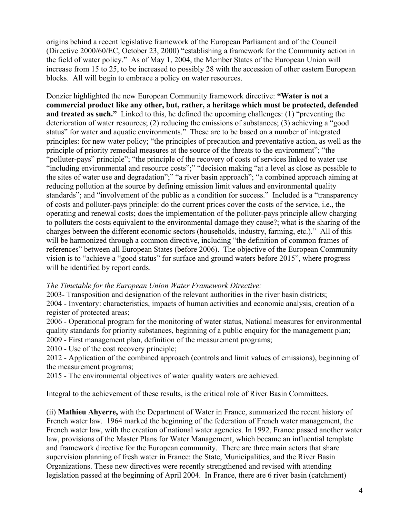origins behind a recent legislative framework of the European Parliament and of the Council (Directive 2000/60/EC, October 23, 2000) "establishing a framework for the Community action in the field of water policy." As of May 1, 2004, the Member States of the European Union will increase from 15 to 25, to be increased to possibly 28 with the accession of other eastern European blocks. All will begin to embrace a policy on water resources.

Donzier highlighted the new European Community framework directive: **"Water is not a commercial product like any other, but, rather, a heritage which must be protected, defended and treated as such."** Linked to this, he defined the upcoming challenges: (1) "preventing the deterioration of water resources; (2) reducing the emissions of substances; (3) achieving a "good status" for water and aquatic environments." These are to be based on a number of integrated principles: for new water policy; "the principles of precaution and preventative action, as well as the principle of priority remedial measures at the source of the threats to the environment"; "the "polluter-pays" principle"; "the principle of the recovery of costs of services linked to water use "including environmental and resource costs";" "decision making "at a level as close as possible to the sites of water use and degradation";" "a river basin approach"; "a combined approach aiming at reducing pollution at the source by defining emission limit values and environmental quality standards"; and "involvement of the public as a condition for success." Included is a "transparency of costs and polluter-pays principle: do the current prices cover the costs of the service, i.e., the operating and renewal costs; does the implementation of the polluter-pays principle allow charging to polluters the costs equivalent to the environmental damage they cause?; what is the sharing of the charges between the different economic sectors (households, industry, farming, etc.)." All of this will be harmonized through a common directive, including "the definition of common frames of references" between all European States (before 2006). The objective of the European Community vision is to "achieve a "good status" for surface and ground waters before 2015", where progress will be identified by report cards.

#### *The Timetable for the European Union Water Framework Directive:*

2003- Transposition and designation of the relevant authorities in the river basin districts; 2004 - Inventory: characteristics, impacts of human activities and economic analysis, creation of a register of protected areas;

2006 - Operational program for the monitoring of water status, National measures for environmental quality standards for priority substances, beginning of a public enquiry for the management plan;

2009 - First management plan, definition of the measurement programs;

2010 - Use of the cost recovery principle;

2012 - Application of the combined approach (controls and limit values of emissions), beginning of the measurement programs;

2015 - The environmental objectives of water quality waters are achieved.

Integral to the achievement of these results, is the critical role of River Basin Committees.

(ii) **Mathieu Ahyerre,** with the Department of Water in France, summarized the recent history of French water law. 1964 marked the beginning of the federation of French water management, the French water law, with the creation of national water agencies. In 1992, France passed another water law, provisions of the Master Plans for Water Management, which became an influential template and framework directive for the European community. There are three main actors that share supervision planning of fresh water in France: the State, Municipalities, and the River Basin Organizations. These new directives were recently strengthened and revised with attending legislation passed at the beginning of April 2004. In France, there are 6 river basin (catchment)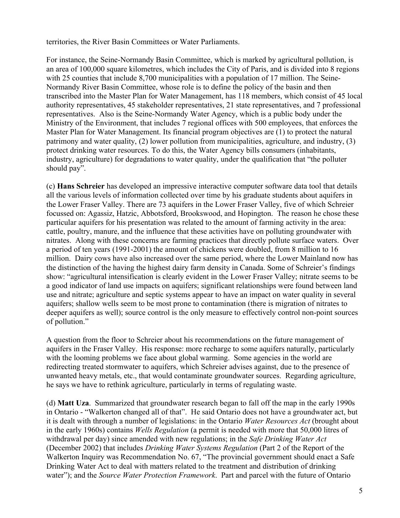territories, the River Basin Committees or Water Parliaments.

For instance, the Seine-Normandy Basin Committee, which is marked by agricultural pollution, is an area of 100,000 square kilometres, which includes the City of Paris, and is divided into 8 regions with 25 counties that include 8,700 municipalities with a population of 17 million. The Seine-Normandy River Basin Committee, whose role is to define the policy of the basin and then transcribed into the Master Plan for Water Management, has 118 members, which consist of 45 local authority representatives, 45 stakeholder representatives, 21 state representatives, and 7 professional representatives. Also is the Seine-Normandy Water Agency, which is a public body under the Ministry of the Environment, that includes 7 regional offices with 500 employees, that enforces the Master Plan for Water Management. Its financial program objectives are (1) to protect the natural patrimony and water quality, (2) lower pollution from municipalities, agriculture, and industry, (3) protect drinking water resources. To do this, the Water Agency bills consumers (inhabitants, industry, agriculture) for degradations to water quality, under the qualification that "the polluter should pay".

(c) **Hans Schreier** has developed an impressive interactive computer software data tool that details all the various levels of information collected over time by his graduate students about aquifers in the Lower Fraser Valley. There are 73 aquifers in the Lower Fraser Valley, five of which Schreier focussed on: Agassiz, Hatzic, Abbotsford, Brookswood, and Hopington. The reason he chose these particular aquifers for his presentation was related to the amount of farming activity in the area: cattle, poultry, manure, and the influence that these activities have on polluting groundwater with nitrates. Along with these concerns are farming practices that directly pollute surface waters. Over a period of ten years (1991-2001) the amount of chickens were doubled, from 8 million to 16 million. Dairy cows have also increased over the same period, where the Lower Mainland now has the distinction of the having the highest dairy farm density in Canada. Some of Schreier's findings show: "agricultural intensification is clearly evident in the Lower Fraser Valley; nitrate seems to be a good indicator of land use impacts on aquifers; significant relationships were found between land use and nitrate; agriculture and septic systems appear to have an impact on water quality in several aquifers; shallow wells seem to be most prone to contamination (there is migration of nitrates to deeper aquifers as well); source control is the only measure to effectively control non-point sources of pollution."

A question from the floor to Schreier about his recommendations on the future management of aquifers in the Fraser Valley. His response: more recharge to some aquifers naturally, particularly with the looming problems we face about global warming. Some agencies in the world are redirecting treated stormwater to aquifers, which Schreier advises against, due to the presence of unwanted heavy metals, etc., that would contaminate groundwater sources. Regarding agriculture, he says we have to rethink agriculture, particularly in terms of regulating waste.

(d) **Matt Uza**. Summarized that groundwater research began to fall off the map in the early 1990s in Ontario - "Walkerton changed all of that". He said Ontario does not have a groundwater act, but it is dealt with through a number of legislations: in the Ontario *Water Resources Act* (brought about in the early 1960s) contains *Wells Regulation* (a permit is needed with more that 50,000 litres of withdrawal per day) since amended with new regulations; in the *Safe Drinking Water Act* (December 2002) that includes *Drinking Water Systems Regulation* (Part 2 of the Report of the Walkerton Inquiry was Recommendation No. 67, "The provincial government should enact a Safe Drinking Water Act to deal with matters related to the treatment and distribution of drinking water"); and the *Source Water Protection Framework*. Part and parcel with the future of Ontario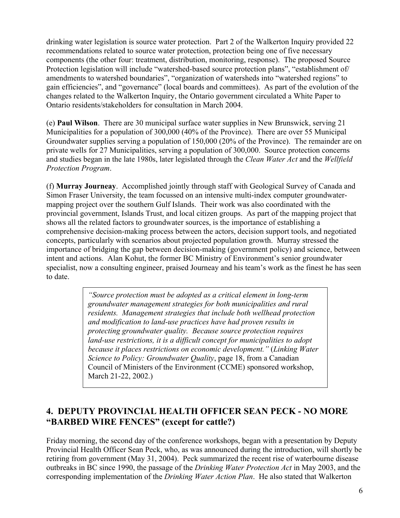drinking water legislation is source water protection. Part 2 of the Walkerton Inquiry provided 22 recommendations related to source water protection, protection being one of five necessary components (the other four: treatment, distribution, monitoring, response). The proposed Source Protection legislation will include "watershed-based source protection plans", "establishment of/ amendments to watershed boundaries", "organization of watersheds into "watershed regions" to gain efficiencies", and "governance" (local boards and committees). As part of the evolution of the changes related to the Walkerton Inquiry, the Ontario government circulated a White Paper to Ontario residents/stakeholders for consultation in March 2004.

(e) **Paul Wilson**. There are 30 municipal surface water supplies in New Brunswick, serving 21 Municipalities for a population of 300,000 (40% of the Province). There are over 55 Municipal Groundwater supplies serving a population of 150,000 (20% of the Province). The remainder are on private wells for 27 Municipalities, serving a population of 300,000. Source protection concerns and studies began in the late 1980s, later legislated through the *Clean Water Act* and the *Wellfield Protection Program*.

(f) **Murray Journeay**. Accomplished jointly through staff with Geological Survey of Canada and Simon Fraser University, the team focussed on an intensive multi-index computer groundwatermapping project over the southern Gulf Islands. Their work was also coordinated with the provincial government, Islands Trust, and local citizen groups. As part of the mapping project that shows all the related factors to groundwater sources, is the importance of establishing a comprehensive decision-making process between the actors, decision support tools, and negotiated concepts, particularly with scenarios about projected population growth. Murray stressed the importance of bridging the gap between decision-making (government policy) and science, between intent and actions. Alan Kohut, the former BC Ministry of Environment's senior groundwater specialist, now a consulting engineer, praised Journeay and his team's work as the finest he has seen to date.

> *"Source protection must be adopted as a critical element in long-term groundwater management strategies for both municipalities and rural residents. Management strategies that include both wellhead protection and modification to land-use practices have had proven results in protecting groundwater quality. Because source protection requires land-use restrictions, it is a difficult concept for municipalities to adopt because it places restrictions on economic development."* (*Linking Water Science to Policy: Groundwater Quality*, page 18, from a Canadian Council of Ministers of the Environment (CCME) sponsored workshop, March 21-22, 2002.)

# **4. DEPUTY PROVINCIAL HEALTH OFFICER SEAN PECK - NO MORE "BARBED WIRE FENCES" (except for cattle?)**

Friday morning, the second day of the conference workshops, began with a presentation by Deputy Provincial Health Officer Sean Peck, who, as was announced during the introduction, will shortly be retiring from government (May 31, 2004). Peck summarized the recent rise of waterbourne disease outbreaks in BC since 1990, the passage of the *Drinking Water Protection Act* in May 2003, and the corresponding implementation of the *Drinking Water Action Plan*. He also stated that Walkerton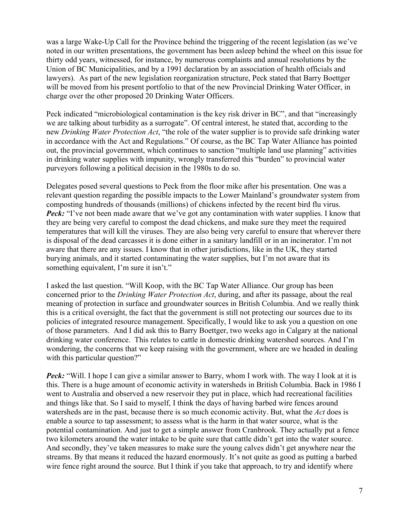was a large Wake-Up Call for the Province behind the triggering of the recent legislation (as we've noted in our written presentations, the government has been asleep behind the wheel on this issue for thirty odd years, witnessed, for instance, by numerous complaints and annual resolutions by the Union of BC Municipalities, and by a 1991 declaration by an association of health officials and lawyers). As part of the new legislation reorganization structure, Peck stated that Barry Boettger will be moved from his present portfolio to that of the new Provincial Drinking Water Officer, in charge over the other proposed 20 Drinking Water Officers.

Peck indicated "microbiological contamination is the key risk driver in BC", and that "increasingly we are talking about turbidity as a surrogate". Of central interest, he stated that, according to the new *Drinking Water Protection Act*, "the role of the water supplier is to provide safe drinking water in accordance with the Act and Regulations." Of course, as the BC Tap Water Alliance has pointed out, the provincial government, which continues to sanction "multiple land use planning" activities in drinking water supplies with impunity, wrongly transferred this "burden" to provincial water purveyors following a political decision in the 1980s to do so.

Delegates posed several questions to Peck from the floor mike after his presentation. One was a relevant question regarding the possible impacts to the Lower Mainland's groundwater system from composting hundreds of thousands (millions) of chickens infected by the recent bird flu virus. *Peck:* "I've not been made aware that we've got any contamination with water supplies. I know that they are being very careful to compost the dead chickens, and make sure they meet the required temperatures that will kill the viruses. They are also being very careful to ensure that wherever there is disposal of the dead carcasses it is done either in a sanitary landfill or in an incinerator. I'm not aware that there are any issues. I know that in other jurisdictions, like in the UK, they started burying animals, and it started contaminating the water supplies, but I'm not aware that its something equivalent, I'm sure it isn't."

I asked the last question. "Will Koop, with the BC Tap Water Alliance. Our group has been concerned prior to the *Drinking Water Protection Act*, during, and after its passage, about the real meaning of protection in surface and groundwater sources in British Columbia. And we really think this is a critical oversight, the fact that the government is still not protecting our sources due to its policies of integrated resource management. Specifically, I would like to ask you a question on one of those parameters. And I did ask this to Barry Boettger, two weeks ago in Calgary at the national drinking water conference. This relates to cattle in domestic drinking watershed sources. And I'm wondering, the concerns that we keep raising with the government, where are we headed in dealing with this particular question?"

*Peck:* "Will. I hope I can give a similar answer to Barry, whom I work with. The way I look at it is this. There is a huge amount of economic activity in watersheds in British Columbia. Back in 1986 I went to Australia and observed a new reservoir they put in place, which had recreational facilities and things like that. So I said to myself, I think the days of having barbed wire fences around watersheds are in the past, because there is so much economic activity. But, what the *Act* does is enable a source to tap assessment; to assess what is the harm in that water source, what is the potential contamination. And just to get a simple answer from Cranbrook. They actually put a fence two kilometers around the water intake to be quite sure that cattle didn't get into the water source. And secondly, they've taken measures to make sure the young calves didn't get anywhere near the streams. By that means it reduced the hazard enormously. It's not quite as good as putting a barbed wire fence right around the source. But I think if you take that approach, to try and identify where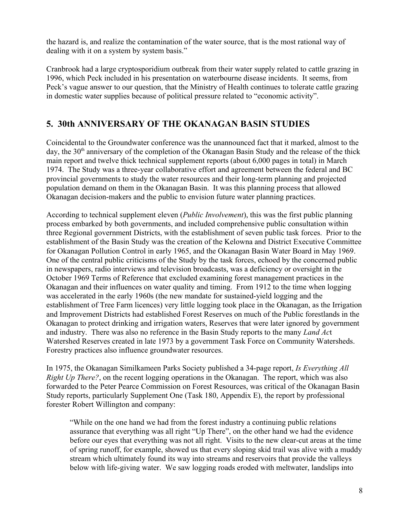the hazard is, and realize the contamination of the water source, that is the most rational way of dealing with it on a system by system basis."

Cranbrook had a large cryptosporidium outbreak from their water supply related to cattle grazing in 1996, which Peck included in his presentation on waterbourne disease incidents. It seems, from Peck's vague answer to our question, that the Ministry of Health continues to tolerate cattle grazing in domestic water supplies because of political pressure related to "economic activity".

## **5. 30th ANNIVERSARY OF THE OKANAGAN BASIN STUDIES**

Coincidental to the Groundwater conference was the unannounced fact that it marked, almost to the day, the  $30<sup>th</sup>$  anniversary of the completion of the Okanagan Basin Study and the release of the thick main report and twelve thick technical supplement reports (about 6,000 pages in total) in March 1974. The Study was a three-year collaborative effort and agreement between the federal and BC provincial governments to study the water resources and their long-term planning and projected population demand on them in the Okanagan Basin. It was this planning process that allowed Okanagan decision-makers and the public to envision future water planning practices.

According to technical supplement eleven (*Public Involvement*), this was the first public planning process embarked by both governments, and included comprehensive public consultation within three Regional government Districts, with the establishment of seven public task forces. Prior to the establishment of the Basin Study was the creation of the Kelowna and District Executive Committee for Okanagan Pollution Control in early 1965, and the Okanagan Basin Water Board in May 1969. One of the central public criticisms of the Study by the task forces, echoed by the concerned public in newspapers, radio interviews and television broadcasts, was a deficiency or oversight in the October 1969 Terms of Reference that excluded examining forest management practices in the Okanagan and their influences on water quality and timing. From 1912 to the time when logging was accelerated in the early 1960s (the new mandate for sustained-yield logging and the establishment of Tree Farm licences) very little logging took place in the Okanagan, as the Irrigation and Improvement Districts had established Forest Reserves on much of the Public forestlands in the Okanagan to protect drinking and irrigation waters, Reserves that were later ignored by government and industry. There was also no reference in the Basin Study reports to the many *Land Ac*t Watershed Reserves created in late 1973 by a government Task Force on Community Watersheds. Forestry practices also influence groundwater resources.

In 1975, the Okanagan Similkameen Parks Society published a 34-page report, *Is Everything All Right Up There?*, on the recent logging operations in the Okanagan. The report, which was also forwarded to the Peter Pearce Commission on Forest Resources, was critical of the Okanagan Basin Study reports, particularly Supplement One (Task 180, Appendix E), the report by professional forester Robert Willington and company:

"While on the one hand we had from the forest industry a continuing public relations assurance that everything was all right "Up There", on the other hand we had the evidence before our eyes that everything was not all right. Visits to the new clear-cut areas at the time of spring runoff, for example, showed us that every sloping skid trail was alive with a muddy stream which ultimately found its way into streams and reservoirs that provide the valleys below with life-giving water. We saw logging roads eroded with meltwater, landslips into